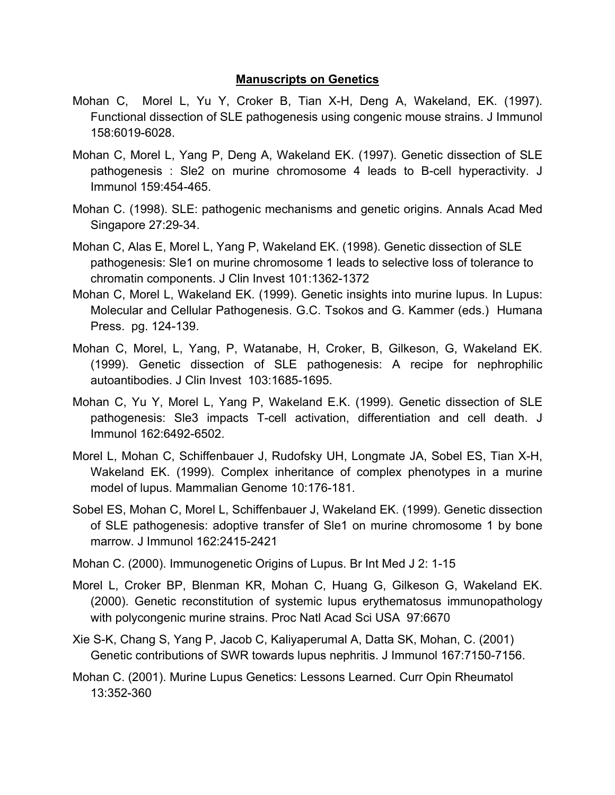## **Manuscripts on Genetics**

- Mohan C, Morel L, Yu Y, Croker B, Tian X-H, Deng A, Wakeland, EK. (1997). Functional dissection of SLE pathogenesis using congenic mouse strains. J Immunol 158:6019-6028.
- Mohan C, Morel L, Yang P, Deng A, Wakeland EK. (1997). Genetic dissection of SLE pathogenesis : Sle2 on murine chromosome 4 leads to B-cell hyperactivity. J Immunol 159:454-465.
- Mohan C. (1998). SLE: pathogenic mechanisms and genetic origins. Annals Acad Med Singapore 27:29-34.
- Mohan C, Alas E, Morel L, Yang P, Wakeland EK. (1998). Genetic dissection of SLE pathogenesis: Sle1 on murine chromosome 1 leads to selective loss of tolerance to chromatin components. J Clin Invest 101:1362-1372
- Mohan C, Morel L, Wakeland EK. (1999). Genetic insights into murine lupus. In Lupus: Molecular and Cellular Pathogenesis. G.C. Tsokos and G. Kammer (eds.) Humana Press. pg. 124-139.
- Mohan C, Morel, L, Yang, P, Watanabe, H, Croker, B, Gilkeson, G, Wakeland EK. (1999). Genetic dissection of SLE pathogenesis: A recipe for nephrophilic autoantibodies. J Clin Invest 103:1685-1695.
- Mohan C, Yu Y, Morel L, Yang P, Wakeland E.K. (1999). Genetic dissection of SLE pathogenesis: Sle3 impacts T-cell activation, differentiation and cell death. J Immunol 162:6492-6502.
- Morel L, Mohan C, Schiffenbauer J, Rudofsky UH, Longmate JA, Sobel ES, Tian X-H, Wakeland EK. (1999). Complex inheritance of complex phenotypes in a murine model of lupus. Mammalian Genome 10:176-181.
- Sobel ES, Mohan C, Morel L, Schiffenbauer J, Wakeland EK. (1999). Genetic dissection of SLE pathogenesis: adoptive transfer of Sle1 on murine chromosome 1 by bone marrow. J Immunol 162:2415-2421
- Mohan C. (2000). Immunogenetic Origins of Lupus. Br Int Med J 2: 1-15
- Morel L, Croker BP, Blenman KR, Mohan C, Huang G, Gilkeson G, Wakeland EK. (2000). Genetic reconstitution of systemic lupus erythematosus immunopathology with polycongenic murine strains. Proc Natl Acad Sci USA 97:6670
- Xie S-K, Chang S, Yang P, Jacob C, Kaliyaperumal A, Datta SK, Mohan, C. (2001) Genetic contributions of SWR towards lupus nephritis. J Immunol 167:7150-7156.
- Mohan C. (2001). Murine Lupus Genetics: Lessons Learned. Curr Opin Rheumatol 13:352-360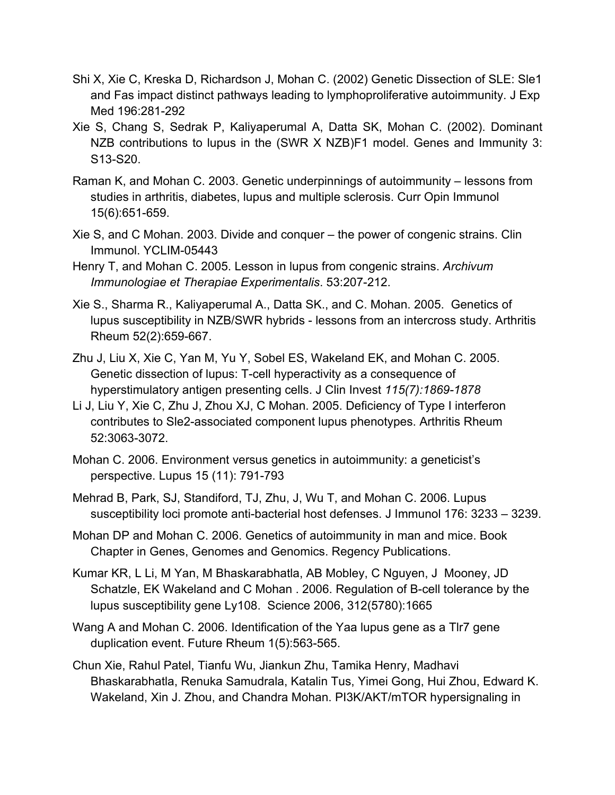- Shi X, Xie C, Kreska D, Richardson J, Mohan C. (2002) Genetic Dissection of SLE: Sle1 and Fas impact distinct pathways leading to lymphoproliferative autoimmunity. J Exp Med 196:281-292
- Xie S, Chang S, Sedrak P, Kaliyaperumal A, Datta SK, Mohan C. (2002). Dominant NZB contributions to lupus in the (SWR X NZB)F1 model. Genes and Immunity 3: S13-S20.
- Raman K, and Mohan C. 2003. Genetic underpinnings of autoimmunity lessons from studies in arthritis, diabetes, lupus and multiple sclerosis. Curr Opin Immunol 15(6):651-659.
- Xie S, and C Mohan. 2003. Divide and conquer the power of congenic strains. Clin Immunol. YCLIM-05443
- Henry T, and Mohan C. 2005. Lesson in lupus from congenic strains. *Archivum Immunologiae et Therapiae Experimentalis*. 53:207-212.
- Xie S., Sharma R., Kaliyaperumal A., Datta SK., and C. Mohan. 2005. Genetics of lupus susceptibility in NZB/SWR hybrids - lessons from an intercross study. Arthritis Rheum 52(2):659-667.
- Zhu J, Liu X, Xie C, Yan M, Yu Y, Sobel ES, Wakeland EK, and Mohan C. 2005. Genetic dissection of lupus: T-cell hyperactivity as a consequence of hyperstimulatory antigen presenting cells. J Clin Invest *115(7):1869-1878*
- Li J, Liu Y, Xie C, Zhu J, Zhou XJ, C Mohan. 2005. Deficiency of Type I interferon contributes to Sle2-associated component lupus phenotypes. Arthritis Rheum 52:3063-3072.
- Mohan C. 2006. Environment versus genetics in autoimmunity: a geneticist's perspective. Lupus 15 (11): 791-793
- Mehrad B, Park, SJ, Standiford, TJ, Zhu, J, Wu T, and Mohan C. 2006. Lupus susceptibility loci promote anti-bacterial host defenses. J Immunol 176: 3233 – 3239.
- Mohan DP and Mohan C. 2006. Genetics of autoimmunity in man and mice. Book Chapter in Genes, Genomes and Genomics. Regency Publications.
- Kumar KR, L Li, M Yan, M Bhaskarabhatla, AB Mobley, C Nguyen, J Mooney, JD Schatzle, EK Wakeland and C Mohan . 2006. Regulation of B-cell tolerance by the lupus susceptibility gene Ly108. Science 2006, 312(5780):1665
- Wang A and Mohan C. 2006. Identification of the Yaa lupus gene as a Tlr7 gene duplication event. Future Rheum 1(5):563-565.
- Chun Xie, Rahul Patel, Tianfu Wu, Jiankun Zhu, Tamika Henry, Madhavi Bhaskarabhatla, Renuka Samudrala, Katalin Tus, Yimei Gong, Hui Zhou, Edward K. Wakeland, Xin J. Zhou, and Chandra Mohan. PI3K/AKT/mTOR hypersignaling in